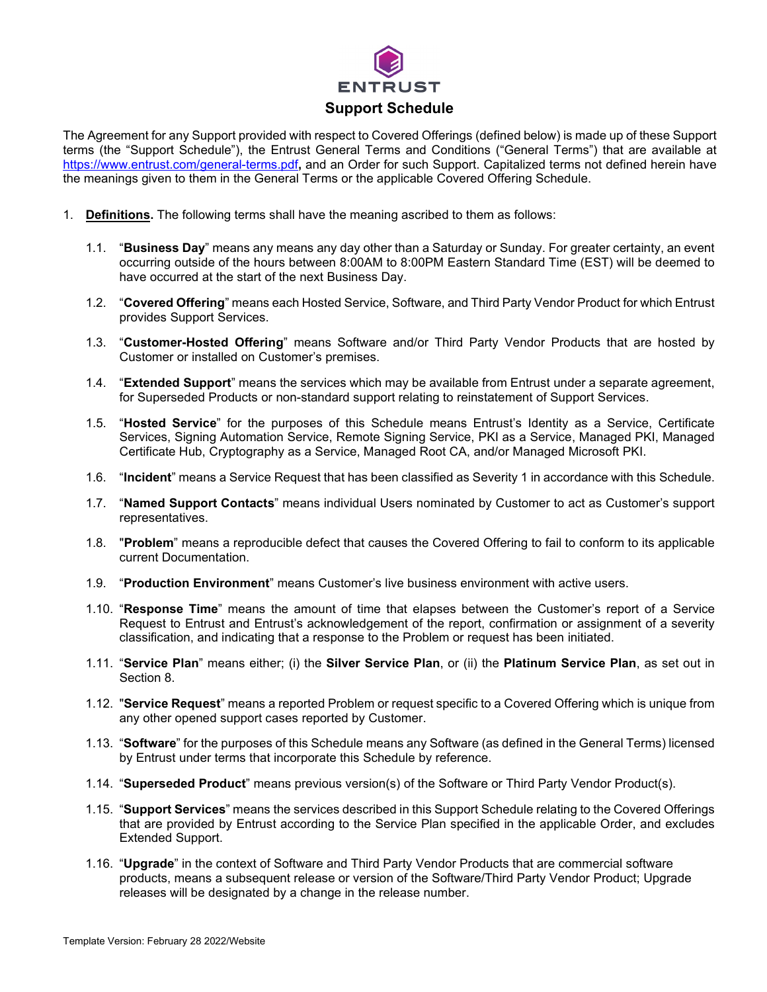

The Agreement for any Support provided with respect to Covered Offerings (defined below) is made up of these Support terms (the "Support Schedule"), the Entrust General Terms and Conditions ("General Terms") that are available at <https://www.entrust.com/general-terms.pdf>**,** and an Order for such Support. Capitalized terms not defined herein have the meanings given to them in the General Terms or the applicable Covered Offering Schedule.

- 1. **Definitions.** The following terms shall have the meaning ascribed to them as follows:
	- 1.1. "**Business Day**" means any means any day other than a Saturday or Sunday. For greater certainty, an event occurring outside of the hours between 8:00AM to 8:00PM Eastern Standard Time (EST) will be deemed to have occurred at the start of the next Business Day.
	- 1.2. "**Covered Offering**" means each Hosted Service, Software, and Third Party Vendor Product for which Entrust provides Support Services.
	- 1.3. "**Customer-Hosted Offering**" means Software and/or Third Party Vendor Products that are hosted by Customer or installed on Customer's premises.
	- 1.4. "**Extended Support**" means the services which may be available from Entrust under a separate agreement, for Superseded Products or non-standard support relating to reinstatement of Support Services.
	- 1.5. "**Hosted Service**" for the purposes of this Schedule means Entrust's Identity as a Service, Certificate Services, Signing Automation Service, Remote Signing Service, PKI as a Service, Managed PKI, Managed Certificate Hub, Cryptography as a Service, Managed Root CA, and/or Managed Microsoft PKI.
	- 1.6. "**Incident**" means a Service Request that has been classified as Severity 1 in accordance with this Schedule.
	- 1.7. "**Named Support Contacts**" means individual Users nominated by Customer to act as Customer's support representatives.
	- 1.8. "**Problem**" means a reproducible defect that causes the Covered Offering to fail to conform to its applicable current Documentation.
	- 1.9. "**Production Environment**" means Customer's live business environment with active users.
	- 1.10. "**Response Time**" means the amount of time that elapses between the Customer's report of a Service Request to Entrust and Entrust's acknowledgement of the report, confirmation or assignment of a severity classification, and indicating that a response to the Problem or request has been initiated.
	- 1.11. "**Service Plan**" means either; (i) the **Silver Service Plan**, or (ii) the **Platinum Service Plan**, as set out in Section 8.
	- 1.12. "**Service Request**" means a reported Problem or request specific to a Covered Offering which is unique from any other opened support cases reported by Customer.
	- 1.13. "**Software**" for the purposes of this Schedule means any Software (as defined in the General Terms) licensed by Entrust under terms that incorporate this Schedule by reference.
	- 1.14. "**Superseded Product**" means previous version(s) of the Software or Third Party Vendor Product(s).
	- 1.15. "**Support Services**" means the services described in this Support Schedule relating to the Covered Offerings that are provided by Entrust according to the Service Plan specified in the applicable Order, and excludes Extended Support.
	- 1.16. "**Upgrade**" in the context of Software and Third Party Vendor Products that are commercial software products, means a subsequent release or version of the Software/Third Party Vendor Product; Upgrade releases will be designated by a change in the release number.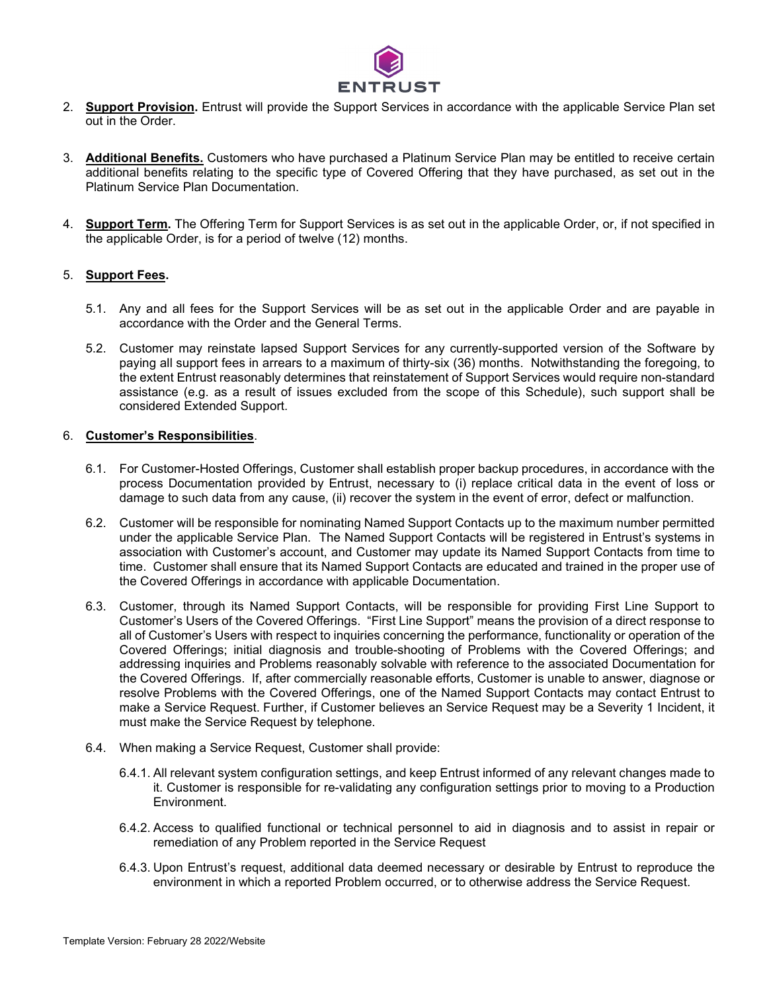

- 2. **Support Provision.** Entrust will provide the Support Services in accordance with the applicable Service Plan set out in the Order.
- 3. **Additional Benefits.** Customers who have purchased a Platinum Service Plan may be entitled to receive certain additional benefits relating to the specific type of Covered Offering that they have purchased, as set out in the Platinum Service Plan Documentation.
- 4. **Support Term.** The Offering Term for Support Services is as set out in the applicable Order, or, if not specified in the applicable Order, is for a period of twelve (12) months.

## 5. **Support Fees.**

- 5.1. Any and all fees for the Support Services will be as set out in the applicable Order and are payable in accordance with the Order and the General Terms.
- 5.2. Customer may reinstate lapsed Support Services for any currently-supported version of the Software by paying all support fees in arrears to a maximum of thirty-six (36) months. Notwithstanding the foregoing, to the extent Entrust reasonably determines that reinstatement of Support Services would require non-standard assistance (e.g. as a result of issues excluded from the scope of this Schedule), such support shall be considered Extended Support.

## 6. **Customer's Responsibilities**.

- 6.1. For Customer-Hosted Offerings, Customer shall establish proper backup procedures, in accordance with the process Documentation provided by Entrust, necessary to (i) replace critical data in the event of loss or damage to such data from any cause, (ii) recover the system in the event of error, defect or malfunction.
- 6.2. Customer will be responsible for nominating Named Support Contacts up to the maximum number permitted under the applicable Service Plan. The Named Support Contacts will be registered in Entrust's systems in association with Customer's account, and Customer may update its Named Support Contacts from time to time. Customer shall ensure that its Named Support Contacts are educated and trained in the proper use of the Covered Offerings in accordance with applicable Documentation.
- 6.3. Customer, through its Named Support Contacts, will be responsible for providing First Line Support to Customer's Users of the Covered Offerings. "First Line Support" means the provision of a direct response to all of Customer's Users with respect to inquiries concerning the performance, functionality or operation of the Covered Offerings; initial diagnosis and trouble-shooting of Problems with the Covered Offerings; and addressing inquiries and Problems reasonably solvable with reference to the associated Documentation for the Covered Offerings. If, after commercially reasonable efforts, Customer is unable to answer, diagnose or resolve Problems with the Covered Offerings, one of the Named Support Contacts may contact Entrust to make a Service Request. Further, if Customer believes an Service Request may be a Severity 1 Incident, it must make the Service Request by telephone.
- 6.4. When making a Service Request, Customer shall provide:
	- 6.4.1. All relevant system configuration settings, and keep Entrust informed of any relevant changes made to it. Customer is responsible for re-validating any configuration settings prior to moving to a Production Environment.
	- 6.4.2. Access to qualified functional or technical personnel to aid in diagnosis and to assist in repair or remediation of any Problem reported in the Service Request
	- 6.4.3. Upon Entrust's request, additional data deemed necessary or desirable by Entrust to reproduce the environment in which a reported Problem occurred, or to otherwise address the Service Request.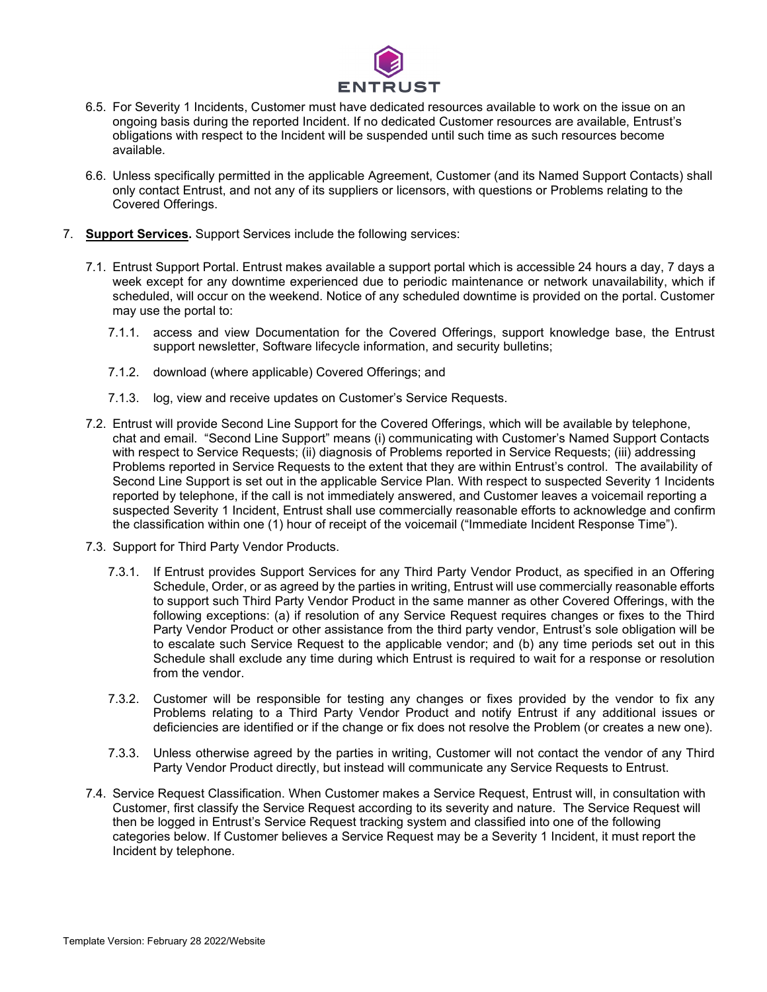

- 6.5. For Severity 1 Incidents, Customer must have dedicated resources available to work on the issue on an ongoing basis during the reported Incident. If no dedicated Customer resources are available, Entrust's obligations with respect to the Incident will be suspended until such time as such resources become available.
- 6.6. Unless specifically permitted in the applicable Agreement, Customer (and its Named Support Contacts) shall only contact Entrust, and not any of its suppliers or licensors, with questions or Problems relating to the Covered Offerings.
- 7. **Support Services.** Support Services include the following services:
	- 7.1. Entrust Support Portal. Entrust makes available a support portal which is accessible 24 hours a day, 7 days a week except for any downtime experienced due to periodic maintenance or network unavailability, which if scheduled, will occur on the weekend. Notice of any scheduled downtime is provided on the portal. Customer may use the portal to:
		- 7.1.1. access and view Documentation for the Covered Offerings, support knowledge base, the Entrust support newsletter, Software lifecycle information, and security bulletins;
		- 7.1.2. download (where applicable) Covered Offerings; and
		- 7.1.3. log, view and receive updates on Customer's Service Requests.
	- 7.2. Entrust will provide Second Line Support for the Covered Offerings, which will be available by telephone, chat and email. "Second Line Support" means (i) communicating with Customer's Named Support Contacts with respect to Service Requests; (ii) diagnosis of Problems reported in Service Requests; (iii) addressing Problems reported in Service Requests to the extent that they are within Entrust's control. The availability of Second Line Support is set out in the applicable Service Plan. With respect to suspected Severity 1 Incidents reported by telephone, if the call is not immediately answered, and Customer leaves a voicemail reporting a suspected Severity 1 Incident, Entrust shall use commercially reasonable efforts to acknowledge and confirm the classification within one (1) hour of receipt of the voicemail ("Immediate Incident Response Time").
	- 7.3. Support for Third Party Vendor Products.
		- 7.3.1. If Entrust provides Support Services for any Third Party Vendor Product, as specified in an Offering Schedule, Order, or as agreed by the parties in writing, Entrust will use commercially reasonable efforts to support such Third Party Vendor Product in the same manner as other Covered Offerings, with the following exceptions: (a) if resolution of any Service Request requires changes or fixes to the Third Party Vendor Product or other assistance from the third party vendor, Entrust's sole obligation will be to escalate such Service Request to the applicable vendor; and (b) any time periods set out in this Schedule shall exclude any time during which Entrust is required to wait for a response or resolution from the vendor.
		- 7.3.2. Customer will be responsible for testing any changes or fixes provided by the vendor to fix any Problems relating to a Third Party Vendor Product and notify Entrust if any additional issues or deficiencies are identified or if the change or fix does not resolve the Problem (or creates a new one).
		- 7.3.3. Unless otherwise agreed by the parties in writing, Customer will not contact the vendor of any Third Party Vendor Product directly, but instead will communicate any Service Requests to Entrust.
	- 7.4. Service Request Classification. When Customer makes a Service Request, Entrust will, in consultation with Customer, first classify the Service Request according to its severity and nature. The Service Request will then be logged in Entrust's Service Request tracking system and classified into one of the following categories below. If Customer believes a Service Request may be a Severity 1 Incident, it must report the Incident by telephone.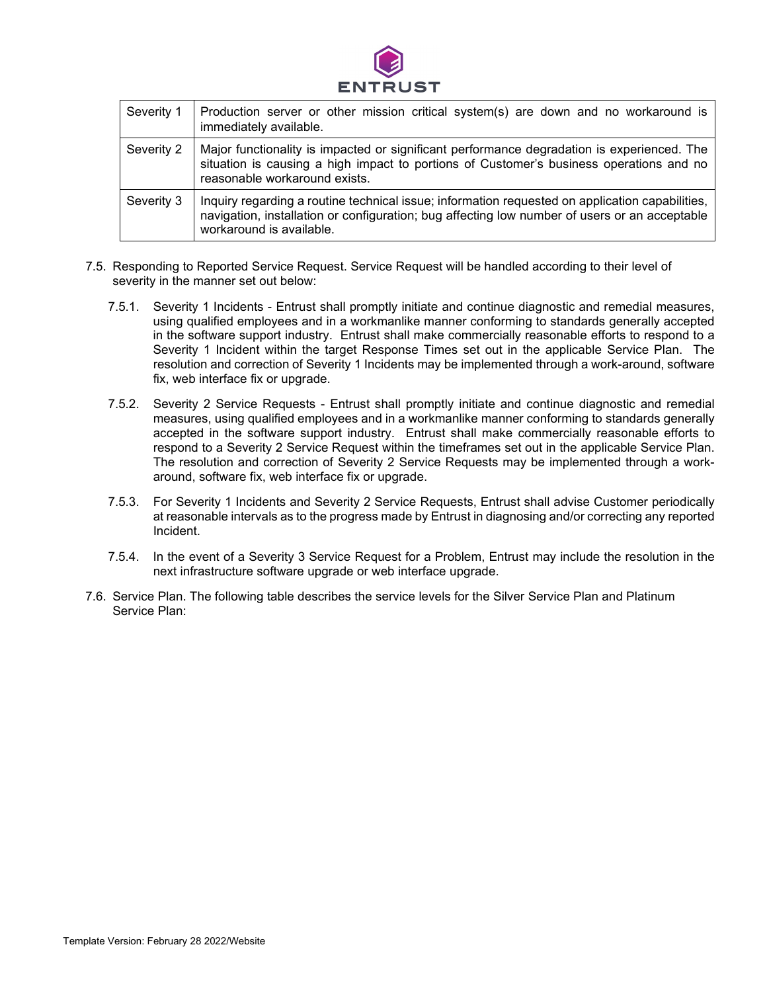

| Severity 1 | Production server or other mission critical system(s) are down and no workaround is<br>immediately available.                                                                                                                |
|------------|------------------------------------------------------------------------------------------------------------------------------------------------------------------------------------------------------------------------------|
| Severity 2 | Major functionality is impacted or significant performance degradation is experienced. The<br>situation is causing a high impact to portions of Customer's business operations and no<br>reasonable workaround exists.       |
| Severity 3 | Inquiry regarding a routine technical issue; information requested on application capabilities,<br>navigation, installation or configuration; bug affecting low number of users or an acceptable<br>workaround is available. |

- 7.5. Responding to Reported Service Request. Service Request will be handled according to their level of severity in the manner set out below:
	- 7.5.1. Severity 1 Incidents Entrust shall promptly initiate and continue diagnostic and remedial measures, using qualified employees and in a workmanlike manner conforming to standards generally accepted in the software support industry. Entrust shall make commercially reasonable efforts to respond to a Severity 1 Incident within the target Response Times set out in the applicable Service Plan. The resolution and correction of Severity 1 Incidents may be implemented through a work-around, software fix, web interface fix or upgrade.
	- 7.5.2. Severity 2 Service Requests Entrust shall promptly initiate and continue diagnostic and remedial measures, using qualified employees and in a workmanlike manner conforming to standards generally accepted in the software support industry. Entrust shall make commercially reasonable efforts to respond to a Severity 2 Service Request within the timeframes set out in the applicable Service Plan. The resolution and correction of Severity 2 Service Requests may be implemented through a workaround, software fix, web interface fix or upgrade.
	- 7.5.3. For Severity 1 Incidents and Severity 2 Service Requests, Entrust shall advise Customer periodically at reasonable intervals as to the progress made by Entrust in diagnosing and/or correcting any reported Incident.
	- 7.5.4. In the event of a Severity 3 Service Request for a Problem, Entrust may include the resolution in the next infrastructure software upgrade or web interface upgrade.
- 7.6. Service Plan. The following table describes the service levels for the Silver Service Plan and Platinum Service Plan: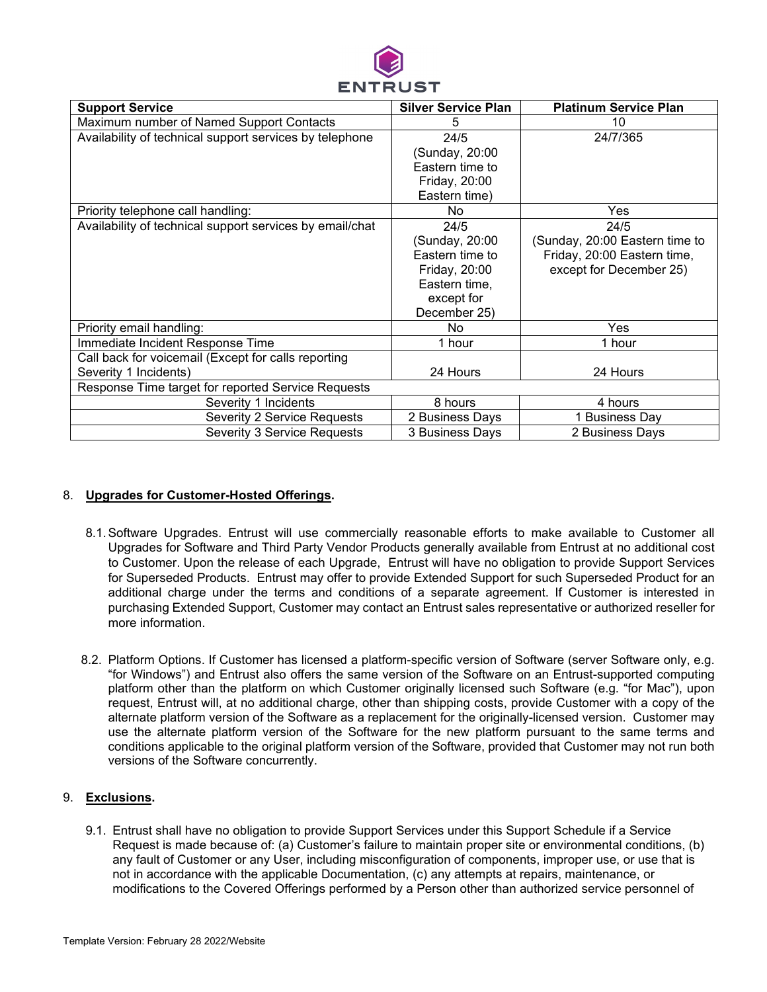

| <b>Support Service</b>                                   | <b>Silver Service Plan</b> | <b>Platinum Service Plan</b>   |  |
|----------------------------------------------------------|----------------------------|--------------------------------|--|
| Maximum number of Named Support Contacts                 | 5                          | 10                             |  |
| Availability of technical support services by telephone  | 24/5                       | 24/7/365                       |  |
|                                                          | (Sunday, 20:00             |                                |  |
|                                                          | Eastern time to            |                                |  |
|                                                          | Friday, 20:00              |                                |  |
|                                                          | Eastern time)              |                                |  |
| Priority telephone call handling:                        | No                         | <b>Yes</b>                     |  |
| Availability of technical support services by email/chat | 24/5                       | 24/5                           |  |
|                                                          | (Sunday, 20:00             | (Sunday, 20:00 Eastern time to |  |
|                                                          | Eastern time to            | Friday, 20:00 Eastern time,    |  |
|                                                          | Friday, 20:00              | except for December 25)        |  |
|                                                          | Eastern time,              |                                |  |
|                                                          | except for                 |                                |  |
|                                                          | December 25)               |                                |  |
| Priority email handling:                                 | No.                        | Yes                            |  |
| Immediate Incident Response Time                         | 1 hour                     | 1 hour                         |  |
| Call back for voicemail (Except for calls reporting      |                            |                                |  |
| Severity 1 Incidents)                                    | 24 Hours                   | 24 Hours                       |  |
| Response Time target for reported Service Requests       |                            |                                |  |
| Severity 1 Incidents                                     | 8 hours                    | 4 hours                        |  |
| <b>Severity 2 Service Requests</b>                       | 2 Business Days            | 1 Business Day                 |  |
| Severity 3 Service Requests                              | 3 Business Days            | 2 Business Days                |  |

## 8. **Upgrades for Customer-Hosted Offerings.**

- 8.1.Software Upgrades. Entrust will use commercially reasonable efforts to make available to Customer all Upgrades for Software and Third Party Vendor Products generally available from Entrust at no additional cost to Customer. Upon the release of each Upgrade, Entrust will have no obligation to provide Support Services for Superseded Products. Entrust may offer to provide Extended Support for such Superseded Product for an additional charge under the terms and conditions of a separate agreement. If Customer is interested in purchasing Extended Support, Customer may contact an Entrust sales representative or authorized reseller for more information.
- 8.2. Platform Options. If Customer has licensed a platform-specific version of Software (server Software only, e.g. "for Windows") and Entrust also offers the same version of the Software on an Entrust-supported computing platform other than the platform on which Customer originally licensed such Software (e.g. "for Mac"), upon request, Entrust will, at no additional charge, other than shipping costs, provide Customer with a copy of the alternate platform version of the Software as a replacement for the originally-licensed version. Customer may use the alternate platform version of the Software for the new platform pursuant to the same terms and conditions applicable to the original platform version of the Software, provided that Customer may not run both versions of the Software concurrently.

## 9. **Exclusions.**

9.1. Entrust shall have no obligation to provide Support Services under this Support Schedule if a Service Request is made because of: (a) Customer's failure to maintain proper site or environmental conditions, (b) any fault of Customer or any User, including misconfiguration of components, improper use, or use that is not in accordance with the applicable Documentation, (c) any attempts at repairs, maintenance, or modifications to the Covered Offerings performed by a Person other than authorized service personnel of